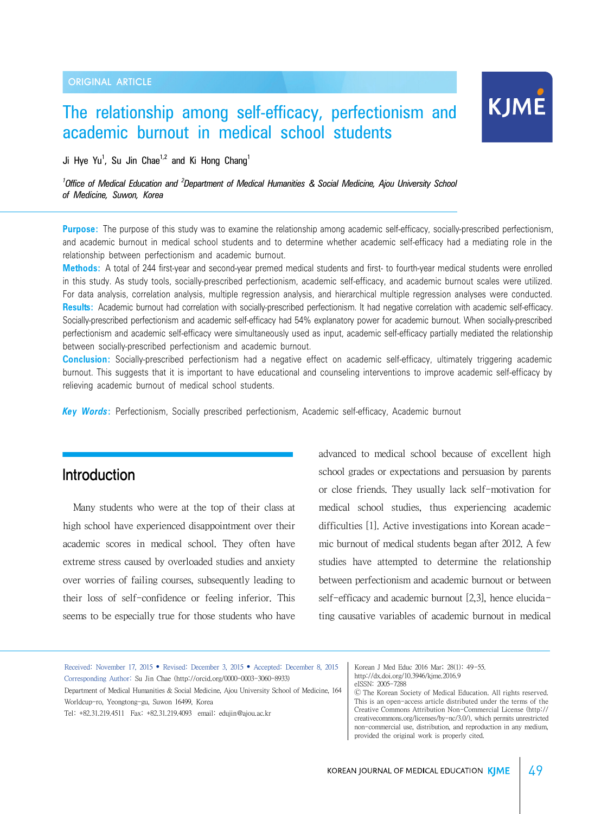# The relationship among self-efficacy, perfectionism and academic burnout in medical school students

Ji Hye Yu<sup>1</sup>, Su Jin Chae<sup>1,2</sup> and Ki Hong Chang<sup>1</sup>

*1 Office of Medical Education and <sup>2</sup> Department of Medical Humanities & Social Medicine, Ajou University School of Medicine, Suwon, Korea*

**Purpose:** The purpose of this study was to examine the relationship among academic self-efficacy, socially-prescribed perfectionism, and academic burnout in medical school students and to determine whether academic self-efficacy had a mediating role in the relationship between perfectionism and academic burnout.

**Methods:** A total of 244 first-year and second-year premed medical students and first- to fourth-year medical students were enrolled in this study. As study tools, socially-prescribed perfectionism, academic self-efficacy, and academic burnout scales were utilized. For data analysis, correlation analysis, multiple regression analysis, and hierarchical multiple regression analyses were conducted. **Results:** Academic burnout had correlation with socially-prescribed perfectionism. It had negative correlation with academic self-efficacy. Socially-prescribed perfectionism and academic self-efficacy had 54% explanatory power for academic burnout. When socially-prescribed perfectionism and academic self-efficacy were simultaneously used as input, academic self-efficacy partially mediated the relationship between socially-prescribed perfectionism and academic burnout.

**Conclusion:** Socially-prescribed perfectionism had a negative effect on academic self-efficacy, ultimately triggering academic burnout. This suggests that it is important to have educational and counseling interventions to improve academic self-efficacy by relieving academic burnout of medical school students.

*Key Words***:** Perfectionism, Socially prescribed perfectionism, Academic self-efficacy, Academic burnout

### Introduction

Many students who were at the top of their class at high school have experienced disappointment over their academic scores in medical school. They often have extreme stress caused by overloaded studies and anxiety over worries of failing courses, subsequently leading to their loss of self-confidence or feeling inferior. This seems to be especially true for those students who have

advanced to medical school because of excellent high school grades or expectations and persuasion by parents or close friends. They usually lack self-motivation for medical school studies, thus experiencing academic difficulties [1]. Active investigations into Korean academic burnout of medical students began after 2012. A few studies have attempted to determine the relationship between perfectionism and academic burnout or between self-efficacy and academic burnout [2,3], hence elucidating causative variables of academic burnout in medical

| Received: November 17, 2015 • Revised: December 3, 2015 • Accepted: December 8, 2015        | Korean J Med Educ 2016 Mar; 28(1): 49-55.                            |  |  |  |
|---------------------------------------------------------------------------------------------|----------------------------------------------------------------------|--|--|--|
| Corresponding Author: Su Jin Chae (http://orcid.org/0000-0003-3060-8933)                    | http://dx.doi.org/10.3946/kjme.2016.9                                |  |  |  |
|                                                                                             | eISSN: 2005-7288                                                     |  |  |  |
| Department of Medical Humanities & Social Medicine, Ajou University School of Medicine, 164 | © The Korean Society of Medical Education, All rights reserved.      |  |  |  |
| Worldcup-ro, Yeongtong-gu, Suwon 16499, Korea                                               | This is an open-access article distributed under the terms of the    |  |  |  |
| Tel: +82.31.219.4511  Fax: +82.31.219.4093  email: eduiin@aiou.ac.kr                        | Creative Commons Attribution Non-Commercial License (http://         |  |  |  |
|                                                                                             | creativecommons.org/licenses/by-nc/3.0/), which permits unrestricted |  |  |  |
|                                                                                             | non-commercial use, distribution, and reproduction in any medium,    |  |  |  |
|                                                                                             | provided the original work is properly cited.                        |  |  |  |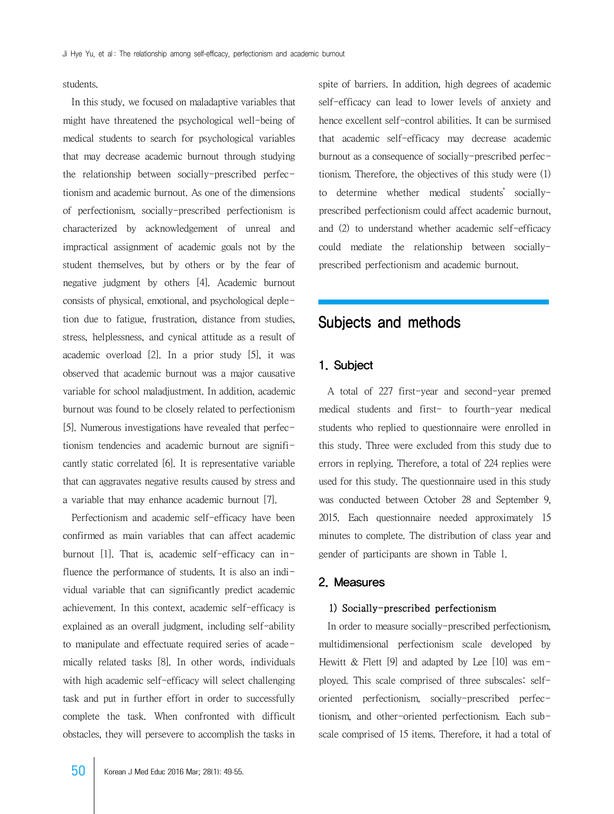students.

 In this study, we focused on maladaptive variables that might have threatened the psychological well-being of medical students to search for psychological variables that may decrease academic burnout through studying the relationship between socially-prescribed perfectionism and academic burnout. As one of the dimensions of perfectionism, socially-prescribed perfectionism is characterized by acknowledgement of unreal and impractical assignment of academic goals not by the student themselves, but by others or by the fear of negative judgment by others [4]. Academic burnout consists of physical, emotional, and psychological depletion due to fatigue, frustration, distance from studies, stress, helplessness, and cynical attitude as a result of academic overload [2]. In a prior study [5], it was observed that academic burnout was a major causative variable for school maladjustment. In addition, academic burnout was found to be closely related to perfectionism [5]. Numerous investigations have revealed that perfectionism tendencies and academic burnout are significantly static correlated [6]. It is representative variable that can aggravates negative results caused by stress and a variable that may enhance academic burnout [7].

 Perfectionism and academic self-efficacy have been confirmed as main variables that can affect academic burnout [1]. That is, academic self-efficacy can influence the performance of students. It is also an individual variable that can significantly predict academic achievement. In this context, academic self-efficacy is explained as an overall judgment, including self-ability to manipulate and effectuate required series of academically related tasks [8]. In other words, individuals with high academic self-efficacy will select challenging task and put in further effort in order to successfully complete the task. When confronted with difficult obstacles, they will persevere to accomplish the tasks in

50 Korean J Med Educ 2016 Mar; 28(1): 49-55.

spite of barriers. In addition, high degrees of academic self-efficacy can lead to lower levels of anxiety and hence excellent self-control abilities. It can be surmised that academic self-efficacy may decrease academic burnout as a consequence of socially-prescribed perfectionism. Therefore, the objectives of this study were (1) to determine whether medical students' sociallyprescribed perfectionism could affect academic burnout, and (2) to understand whether academic self-efficacy could mediate the relationship between sociallyprescribed perfectionism and academic burnout.

### Subjects and methods

### 1. Subject

 A total of 227 first-year and second-year premed medical students and first- to fourth-year medical students who replied to questionnaire were enrolled in this study. Three were excluded from this study due to errors in replying. Therefore, a total of 224 replies were used for this study. The questionnaire used in this study was conducted between October 28 and September 9, 2015. Each questionnaire needed approximately 15 minutes to complete. The distribution of class year and gender of participants are shown in Table 1.

#### 2. Measures

#### 1) Socially-prescribed perfectionism

 In order to measure socially-prescribed perfectionism, multidimensional perfectionism scale developed by Hewitt & Flett [9] and adapted by Lee [10] was  $em$ ployed. This scale comprised of three subscales: selforiented perfectionism, socially-prescribed perfectionism, and other-oriented perfectionism. Each subscale comprised of 15 items. Therefore, it had a total of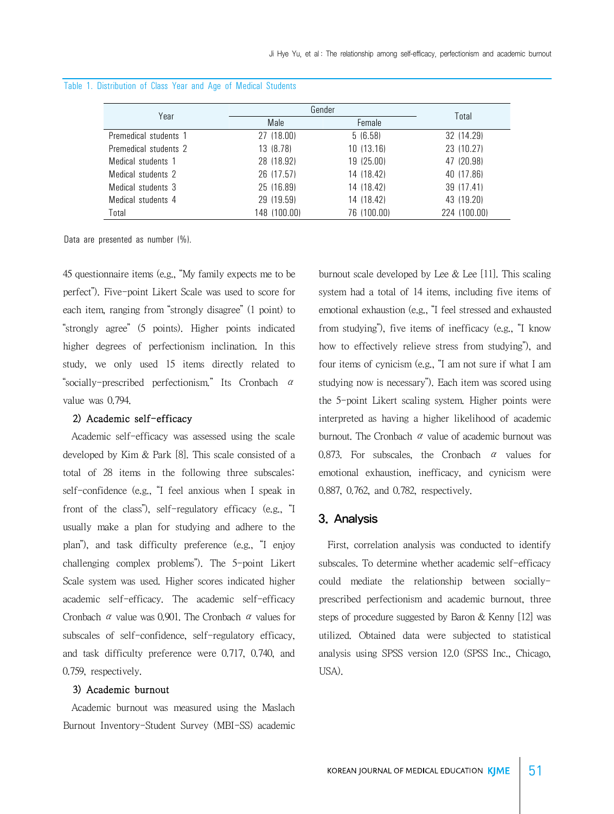|                       |              | Gender      |              |  |  |
|-----------------------|--------------|-------------|--------------|--|--|
| Year                  | Male         | Female      | Total        |  |  |
| Premedical students 1 | 27 (18.00)   | 5(6.58)     | 32 (14.29)   |  |  |
| Premedical students 2 | 13 (8.78)    | 10 (13.16)  | 23 (10.27)   |  |  |
| Medical students 1    | 28 (18.92)   | 19 (25.00)  | 47 (20.98)   |  |  |
| Medical students 2    | 26 (17.57)   | 14 (18.42)  | 40 (17.86)   |  |  |
| Medical students 3    | 25 (16.89)   | 14 (18.42)  | 39 (17.41)   |  |  |
| Medical students 4    | 29 (19.59)   | 14 (18.42)  | 43 (19.20)   |  |  |
| Total                 | 148 (100.00) | 76 (100.00) | 224 (100.00) |  |  |

#### Table 1. Distribution of Class Year and Age of Medical Students

Data are presented as number (%).

45 questionnaire items (e.g., "My family expects me to be perfect"). Five-point Likert Scale was used to score for each item, ranging from "strongly disagree" (1 point) to "strongly agree" (5 points). Higher points indicated higher degrees of perfectionism inclination. In this study, we only used 15 items directly related to "socially-prescribed perfectionism." Its Cronbach  $\alpha$ value was 0.794.

#### 2) Academic self-efficacy

 Academic self-efficacy was assessed using the scale developed by Kim & Park [8]. This scale consisted of a total of 28 items in the following three subscales: self-confidence (e.g., "I feel anxious when I speak in front of the class"), self-regulatory efficacy (e.g., "I usually make a plan for studying and adhere to the plan"), and task difficulty preference (e.g., "I enjoy challenging complex problems"). The 5-point Likert Scale system was used. Higher scores indicated higher academic self-efficacy. The academic self-efficacy Cronbach α value was 0.901. The Cronbach α values for subscales of self-confidence, self-regulatory efficacy, and task difficulty preference were 0.717, 0.740, and 0.759, respectively.

#### 3) Academic burnout

 Academic burnout was measured using the Maslach Burnout Inventory-Student Survey (MBI-SS) academic burnout scale developed by Lee  $\&$  Lee [11]. This scaling system had a total of 14 items, including five items of emotional exhaustion (e.g., "I feel stressed and exhausted from studying"), five items of inefficacy (e.g., "I know how to effectively relieve stress from studying"), and four items of cynicism (e.g., "I am not sure if what I am studying now is necessary"). Each item was scored using the 5-point Likert scaling system. Higher points were interpreted as having a higher likelihood of academic burnout. The Cronbach  $\alpha$  value of academic burnout was 0.873. For subscales, the Cronbach  $\alpha$  values for emotional exhaustion, inefficacy, and cynicism were 0.887, 0.762, and 0.782, respectively.

#### 3. Analysis

 First, correlation analysis was conducted to identify subscales. To determine whether academic self-efficacy could mediate the relationship between sociallyprescribed perfectionism and academic burnout, three steps of procedure suggested by Baron & Kenny [12] was utilized. Obtained data were subjected to statistical analysis using SPSS version 12.0 (SPSS Inc., Chicago, USA).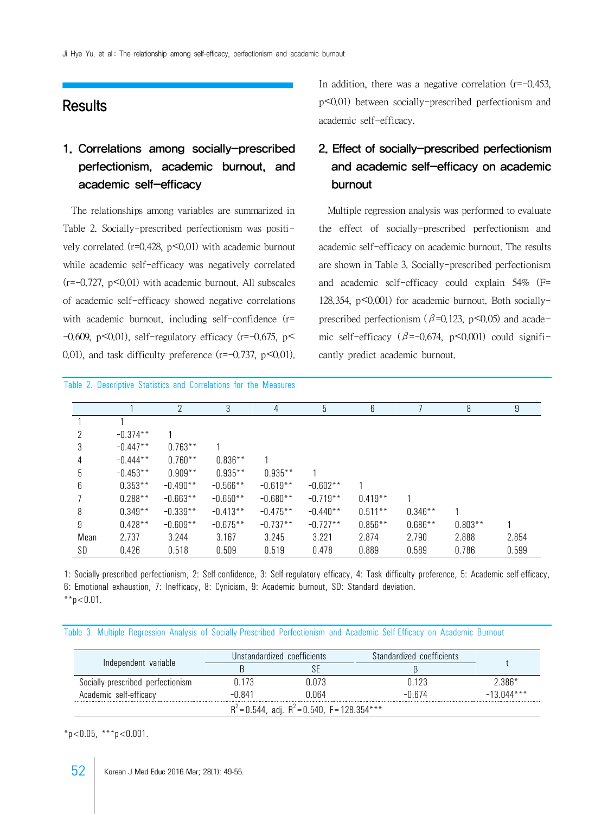### **Results**

## 1. Correlations among socially-prescribed perfectionism, academic burnout, and academic self-efficacy

 The relationships among variables are summarized in Table 2. Socially-prescribed perfectionism was positively correlated ( $r=0.428$ ,  $p<0.01$ ) with academic burnout while academic self-efficacy was negatively correlated  $(r=-0.727, p<0.01)$  with academic burnout. All subscales of academic self-efficacy showed negative correlations with academic burnout, including self-confidence (r=  $-0.609$ , p $\leq 0.01$ ), self-regulatory efficacy (r= $-0.675$ , p $\leq$ 0.01), and task difficulty preference  $(r=-0.737, p<0.01)$ .

Table 2. Descriptive Statistics and Correlations for the Measures

In addition, there was a negative correlation  $(r=-0.453)$ . p<0.01) between socially-prescribed perfectionism and academic self-efficacy.

## 2. Effect of socially-prescribed perfectionism and academic self-efficacy on academic burnout

 Multiple regression analysis was performed to evaluate the effect of socially-prescribed perfectionism and academic self-efficacy on academic burnout. The results are shown in Table 3. Socially-prescribed perfectionism and academic self-efficacy could explain 54% (F= 128.354, p<0.001) for academic burnout. Both sociallyprescribed perfectionism ( $\beta$ =0.123, p<0.05) and academic self-efficacy ( $\beta$ =-0.674, p<0.001) could significantly predict academic burnout.

|      |            | ŋ          | 3          | 4          | 5          | 6         |           | 8         | 9     |
|------|------------|------------|------------|------------|------------|-----------|-----------|-----------|-------|
|      |            |            |            |            |            |           |           |           |       |
|      | $-0.374**$ |            |            |            |            |           |           |           |       |
|      | $-0.447**$ | $0.763**$  |            |            |            |           |           |           |       |
| 4    | $-0.444**$ | $0.760**$  | $0.836**$  |            |            |           |           |           |       |
| 5    | $-0.453**$ | $0.909**$  | $0.935**$  | $0.935***$ |            |           |           |           |       |
| 6    | $0.353**$  | $-0.490**$ | $-0.566**$ | $-0.619**$ | $-0.602**$ |           |           |           |       |
|      | $0.288**$  | $-0.663**$ | $-0.650**$ | $-0.680**$ | $-0.719**$ | $0.419**$ |           |           |       |
| 8    | $0.349**$  | $-0.339**$ | $-0.413**$ | $-0.475**$ | $-0.440**$ | $0.511**$ | $0.346**$ |           |       |
| 9    | $0.428**$  | $-0.609**$ | $-0.675**$ | $-0.737**$ | $-0.727**$ | $0.856**$ | $0.686**$ | $0.803**$ |       |
| Mean | 2.737      | 3.244      | 3.167      | 3.245      | 3.221      | 2.874     | 2.790     | 2.888     | 2.854 |
| SD   | 0.426      | 0.518      | 0.509      | 0.519      | 0.478      | 0.889     | 0.589     | 0.786     | 0.599 |

1: Socially-prescribed perfectionism, 2: Self-confidence, 3: Self-regulatory efficacy, 4: Task difficulty preference, 5: Academic self-efficacy, 6: Emotional exhaustion, 7: Inefficacy, 8: Cynicism, 9: Academic burnout, SD: Standard deviation.  $*$  $p$ <0.01.

Table 3. Multiple Regression Analysis of Socially-Prescribed Perfectionism and Academic Self-Efficacy on Academic Burnout

|                                                   |        | Unstandardized coefficients | Standardized coefficients |              |  |
|---------------------------------------------------|--------|-----------------------------|---------------------------|--------------|--|
| Independent variable                              |        |                             |                           |              |  |
| Socially-prescribed perfectionism                 | በ 173  | ነ በ73                       |                           | 2.386*       |  |
| Academic self-efficacy                            | -N 841 | N N64                       | h / 4                     | $-13.044***$ |  |
| $R^2$ = 0.544, adj. $R^2$ = 0.540, F = 128.354*** |        |                             |                           |              |  |

 $*n < 0.05$ ,  $**n < 0.001$ .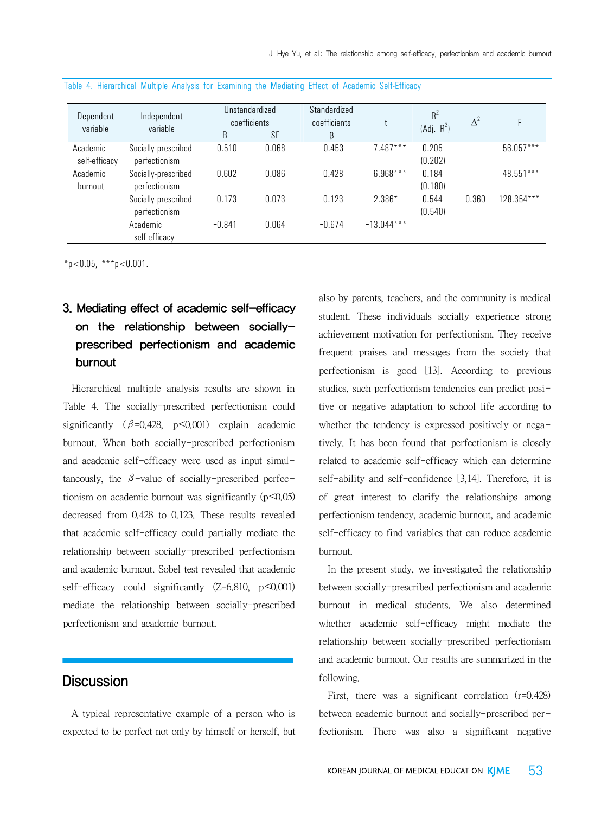| Dependent<br>variable     | Independent<br>variable              | Unstandardized<br>coefficients |           | Standardized<br>coefficients |              | $R^2$<br>(Adj. R <sup>2</sup> ) | $\Delta^2$ |            |
|---------------------------|--------------------------------------|--------------------------------|-----------|------------------------------|--------------|---------------------------------|------------|------------|
|                           |                                      | B                              | <b>SE</b> | β                            |              |                                 |            |            |
| Academic<br>self-efficacy | Socially-prescribed<br>perfectionism | $-0.510$                       | 0.068     | $-0.453$                     | $-7.487***$  | 0.205<br>(0.202)                |            | 56.057***  |
| Academic<br>burnout       | Socially-prescribed<br>perfectionism | 0.602                          | 0.086     | 0.428                        | 6.968***     | 0.184<br>(0.180)                |            | 48.551***  |
|                           | Socially-prescribed<br>perfectionism | 0.173                          | 0.073     | 0.123                        | $2.386*$     | 0.544<br>(0.540)                | 0.360      | 128.354*** |
|                           | Academic<br>self-efficacy            | $-0.841$                       | 0.064     | $-0.674$                     | $-13.044***$ |                                 |            |            |

#### Table 4. Hierarchical Multiple Analysis for Examining the Mediating Effect of Academic Self-Efficacy

 $*p<0.05$ ,  $**p<0.001$ .

# 3. Mediating effect of academic self-efficacy on the relationship between sociallyprescribed perfectionism and academic burnout

 Hierarchical multiple analysis results are shown in Table 4. The socially-prescribed perfectionism could significantly  $(\beta=0.428, p<0.001)$  explain academic burnout. When both socially-prescribed perfectionism and academic self-efficacy were used as input simultaneously, the  $\beta$ -value of socially-prescribed perfectionism on academic burnout was significantly  $(p<0.05)$ decreased from 0.428 to 0.123. These results revealed that academic self-efficacy could partially mediate the relationship between socially-prescribed perfectionism and academic burnout. Sobel test revealed that academic self-efficacy could significantly  $(Z=6.810, p<0.001)$ mediate the relationship between socially-prescribed perfectionism and academic burnout.

## **Discussion**

 A typical representative example of a person who is expected to be perfect not only by himself or herself, but

also by parents, teachers, and the community is medical student. These individuals socially experience strong achievement motivation for perfectionism. They receive frequent praises and messages from the society that perfectionism is good [13]. According to previous studies, such perfectionism tendencies can predict positive or negative adaptation to school life according to whether the tendency is expressed positively or negatively. It has been found that perfectionism is closely related to academic self-efficacy which can determine self-ability and self-confidence [3,14]. Therefore, it is of great interest to clarify the relationships among perfectionism tendency, academic burnout, and academic self-efficacy to find variables that can reduce academic burnout.

 In the present study, we investigated the relationship between socially-prescribed perfectionism and academic burnout in medical students. We also determined whether academic self-efficacy might mediate the relationship between socially-prescribed perfectionism and academic burnout. Our results are summarized in the following.

First, there was a significant correlation (r=0.428) between academic burnout and socially-prescribed perfectionism. There was also a significant negative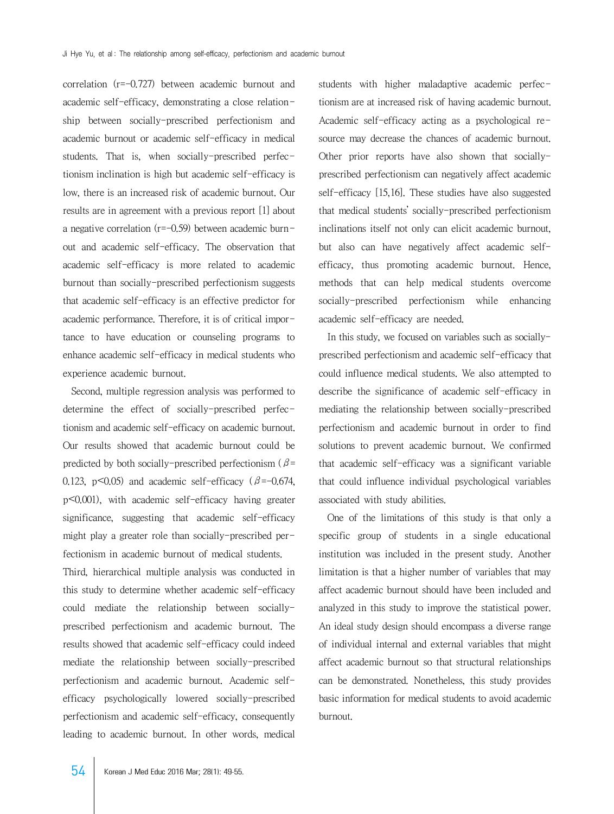correlation (r=-0.727) between academic burnout and academic self-efficacy, demonstrating a close relationship between socially-prescribed perfectionism and academic burnout or academic self-efficacy in medical students. That is, when socially-prescribed perfectionism inclination is high but academic self-efficacy is low, there is an increased risk of academic burnout. Our results are in agreement with a previous report [1] about a negative correlation  $(r=-0.59)$  between academic burnout and academic self-efficacy. The observation that academic self-efficacy is more related to academic burnout than socially-prescribed perfectionism suggests that academic self-efficacy is an effective predictor for academic performance. Therefore, it is of critical importance to have education or counseling programs to enhance academic self-efficacy in medical students who experience academic burnout.

 Second, multiple regression analysis was performed to determine the effect of socially-prescribed perfectionism and academic self-efficacy on academic burnout. Our results showed that academic burnout could be predicted by both socially-prescribed perfectionism ( $\beta$ = 0.123, p $\leq$ 0.05) and academic self-efficacy ( $\beta$ =-0.674, p<0.001), with academic self-efficacy having greater significance, suggesting that academic self-efficacy might play a greater role than socially-prescribed perfectionism in academic burnout of medical students. Third, hierarchical multiple analysis was conducted in this study to determine whether academic self-efficacy could mediate the relationship between sociallyprescribed perfectionism and academic burnout. The results showed that academic self-efficacy could indeed mediate the relationship between socially-prescribed

perfectionism and academic burnout. Academic selfefficacy psychologically lowered socially-prescribed perfectionism and academic self-efficacy, consequently leading to academic burnout. In other words, medical

students with higher maladaptive academic perfectionism are at increased risk of having academic burnout. Academic self-efficacy acting as a psychological resource may decrease the chances of academic burnout. Other prior reports have also shown that sociallyprescribed perfectionism can negatively affect academic self-efficacy [15,16]. These studies have also suggested that medical students' socially-prescribed perfectionism inclinations itself not only can elicit academic burnout, but also can have negatively affect academic selfefficacy, thus promoting academic burnout. Hence, methods that can help medical students overcome socially-prescribed perfectionism while enhancing academic self-efficacy are needed.

 In this study, we focused on variables such as sociallyprescribed perfectionism and academic self-efficacy that could influence medical students. We also attempted to describe the significance of academic self-efficacy in mediating the relationship between socially-prescribed perfectionism and academic burnout in order to find solutions to prevent academic burnout. We confirmed that academic self-efficacy was a significant variable that could influence individual psychological variables associated with study abilities.

 One of the limitations of this study is that only a specific group of students in a single educational institution was included in the present study. Another limitation is that a higher number of variables that may affect academic burnout should have been included and analyzed in this study to improve the statistical power. An ideal study design should encompass a diverse range of individual internal and external variables that might affect academic burnout so that structural relationships can be demonstrated. Nonetheless, this study provides basic information for medical students to avoid academic burnout.